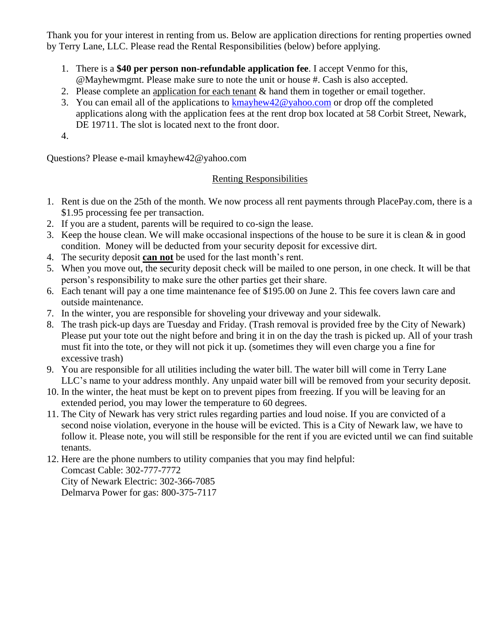Thank you for your interest in renting from us. Below are application directions for renting properties owned by Terry Lane, LLC. Please read the Rental Responsibilities (below) before applying.

- 1. There is a **\$40 per person non-refundable application fee**. I accept Venmo for this, @Mayhewmgmt. Please make sure to note the unit or house #. Cash is also accepted.
- 2. Please complete an application for each tenant  $\&$  hand them in together or email together.
- 3. You can email all of the applications to [kmayhew42@yahoo.com](mailto:kmayhew42@yahoo.com) or drop off the completed applications along with the application fees at the rent drop box located at 58 Corbit Street, Newark, DE 19711. The slot is located next to the front door.
- 4.

Questions? Please e-mail kmayhew42@yahoo.com

## Renting Responsibilities

- 1. Rent is due on the 25th of the month. We now process all rent payments through PlacePay.com, there is a \$1.95 processing fee per transaction.
- 2. If you are a student, parents will be required to co-sign the lease.
- 3. Keep the house clean. We will make occasional inspections of the house to be sure it is clean & in good condition. Money will be deducted from your security deposit for excessive dirt.
- 4. The security deposit **can not** be used for the last month's rent.
- 5. When you move out, the security deposit check will be mailed to one person, in one check. It will be that person's responsibility to make sure the other parties get their share.
- 6. Each tenant will pay a one time maintenance fee of \$195.00 on June 2. This fee covers lawn care and outside maintenance.
- 7. In the winter, you are responsible for shoveling your driveway and your sidewalk.
- 8. The trash pick-up days are Tuesday and Friday. (Trash removal is provided free by the City of Newark) Please put your tote out the night before and bring it in on the day the trash is picked up. All of your trash must fit into the tote, or they will not pick it up. (sometimes they will even charge you a fine for excessive trash)
- 9. You are responsible for all utilities including the water bill. The water bill will come in Terry Lane LLC's name to your address monthly. Any unpaid water bill will be removed from your security deposit.
- 10. In the winter, the heat must be kept on to prevent pipes from freezing. If you will be leaving for an extended period, you may lower the temperature to 60 degrees.
- 11. The City of Newark has very strict rules regarding parties and loud noise. If you are convicted of a second noise violation, everyone in the house will be evicted. This is a City of Newark law, we have to follow it. Please note, you will still be responsible for the rent if you are evicted until we can find suitable tenants.
- 12. Here are the phone numbers to utility companies that you may find helpful: Comcast Cable: 302-777-7772

City of Newark Electric: 302-366-7085 Delmarva Power for gas: 800-375-7117